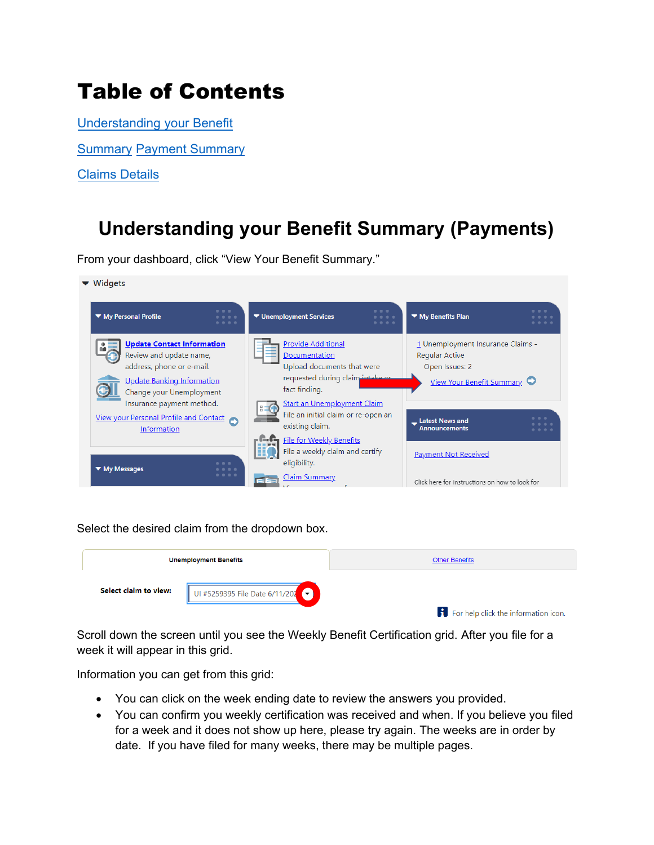# Table of Contents

[Understanding your Benefit](#page-0-0) 

[Summary](#page-1-0) Payment Summary

[Claims Detail](#page-3-0)s

### <span id="page-0-0"></span>**Understanding your Benefit Summary (Payments)**

From your dashboard, click "View Your Benefit Summary."

 $\blacktriangledown$  Widgets



Select the desired claim from the dropdown box.

|                       | <b>Unemployment Benefits</b>     | <b>Other Benefits</b>                             |
|-----------------------|----------------------------------|---------------------------------------------------|
| Select claim to view: | UI #5259395 File Date 6/11/202 ▼ |                                                   |
|                       |                                  | $\mathbf{P}$ For help click the information icon. |

Scroll down the screen until you see the Weekly Benefit Certification grid. After you file for a week it will appear in this grid.

Information you can get from this grid:

- You can click on the week ending date to review the answers you provided.
- You can confirm you weekly certification was received and when. If you believe you filed for a week and it does not show up here, please try again. The weeks are in order by date. If you have filed for many weeks, there may be multiple pages.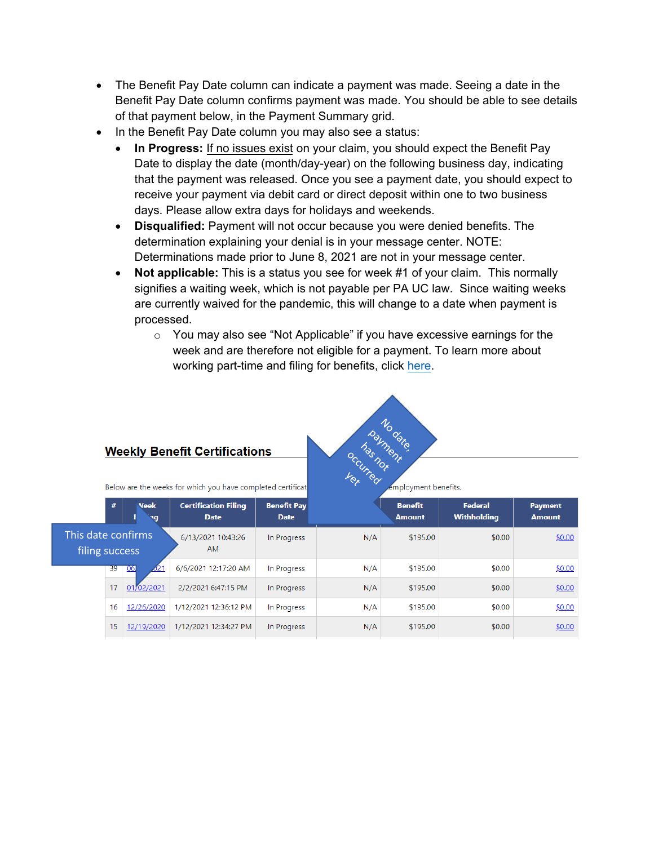- The Benefit Pay Date column can indicate a payment was made. Seeing a date in the Benefit Pay Date column confirms payment was made. You should be able to see details of that payment below, in the Payment Summary grid.
- In the Benefit Pay Date column you may also see a status:
	- **In Progress:** If no issues exist on your claim, you should expect the Benefit Pay Date to display the date (month/day-year) on the following business day, indicating that the payment was released. Once you see a payment date, you should expect to receive your payment via debit card or direct deposit within one to two business days. Please allow extra days for holidays and weekends.
	- **Disqualified:** Payment will not occur because you were denied benefits. The determination explaining your denial is in your message center. NOTE: Determinations made prior to June 8, 2021 are not in your message center.
	- **Not applicable:** This is a status you see for week #1 of your claim. This normally signifies a waiting week, which is not payable per PA UC law. Since waiting weeks are currently waived for the pandemic, this will change to a date when payment is processed.
		- $\circ$  You may also see "Not Applicable" if you have excessive earnings for the week and are therefore [not eli](https://www.uc.pa.gov/unemployment-benefits/benefits-information/Pages/Partial-Benefit-Credit.aspx)gible for a payment. To learn more about working part-time and filing for benefits, click here.



#### **Weekly Benefit Certifications**

Below are the weeks for which you have completed certificat

<span id="page-1-0"></span>

|                                      | #  | <b>Veek</b><br>٦g | <b>Certification Filing</b><br><b>Date</b> | <b>Benefit Pay</b><br><b>Date</b> |     | <b>Benefit</b><br><b>Amount</b> | Federal<br><b>Withholding</b> | <b>Payment</b><br><b>Amount</b> |
|--------------------------------------|----|-------------------|--------------------------------------------|-----------------------------------|-----|---------------------------------|-------------------------------|---------------------------------|
| This date confirms<br>filing success |    |                   | 6/13/2021 10:43:26<br><b>AM</b>            | In Progress                       | N/A | \$195.00                        | \$0.00                        | \$0.00                          |
|                                      | 39 | 06<br>021         | 6/6/2021 12:17:20 AM                       | In Progress                       | N/A | \$195.00                        | \$0.00                        | \$0.00                          |
|                                      | 17 | 01/02/2021        | 2/2/2021 6:47:15 PM                        | In Progress                       | N/A | \$195.00                        | \$0.00                        | \$0.00                          |
|                                      | 16 | 12/26/2020        | 1/12/2021 12:36:12 PM                      | In Progress                       | N/A | \$195.00                        | \$0.00                        | \$0.00                          |
|                                      | 15 | 12/19/2020        | 1/12/2021 12:34:27 PM                      | In Progress                       | N/A | \$195.00                        | \$0.00                        | \$0.00                          |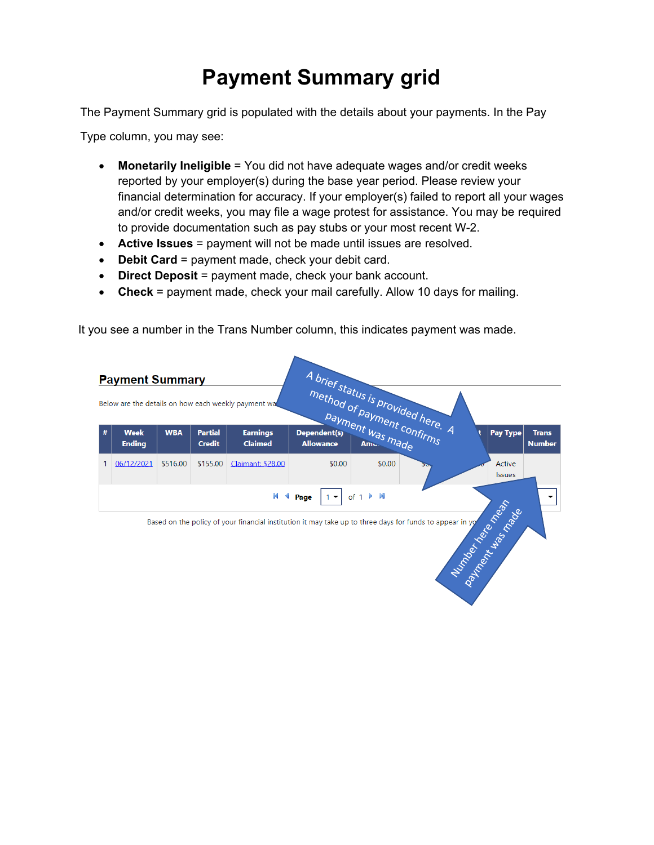## **Payment Summary grid**

The Payment Summary grid is populated with the details about your payments. In the Pay

Type column, you may see:

- **Monetarily Ineligible** = You did not have adequate wages and/or credit weeks reported by your employer(s) during the base year period. Please review your financial determination for accuracy. If your employer(s) failed to report all your wages and/or credit weeks, you may file a wage protest for assistance. You may be required to provide documentation such as pay stubs or your most recent W-2.
- **Active Issues** = payment will not be made until issues are resolved.
- **Debit Card** = payment made, check your debit card.
- **Direct Deposit** = payment made, check your bank account.
- **Check** = payment made, check your mail carefully. Allow 10 days for mailing.

It you see a number in the Trans Number column, this indicates payment was made.

| <b>Payment Summary</b><br>Below are the details on how each weekly payment wa |                                                                                                                          |            |                                 |                                   |        |                  | A brief status is provided here. A<br>method of payment confirms |  |                         |                               |
|-------------------------------------------------------------------------------|--------------------------------------------------------------------------------------------------------------------------|------------|---------------------------------|-----------------------------------|--------|------------------|------------------------------------------------------------------|--|-------------------------|-------------------------------|
| #                                                                             | <b>Week</b><br><b>Ending</b>                                                                                             | <b>WBA</b> | <b>Partial</b><br><b>Credit</b> | <b>Earnings</b><br><b>Claimed</b> |        | payment was made |                                                                  |  | <b>Pay Type</b>         | <b>Trans</b><br><b>Number</b> |
|                                                                               | 06/12/2021                                                                                                               | \$516.00   | \$155.00                        | Claimant: \$28.00                 | \$0.00 | \$0.00           | 50.                                                              |  | Active<br><b>Issues</b> |                               |
|                                                                               | of $1 \rightarrow M$<br>K<br>$\blacksquare$ Page<br>$\overline{\phantom{a}}$                                             |            |                                 |                                   |        |                  |                                                                  |  |                         |                               |
|                                                                               | bertree mean<br>Based on the policy of your financial institution it may take up to three days for funds to appear in yo |            |                                 |                                   |        |                  |                                                                  |  |                         |                               |

**Pulled**